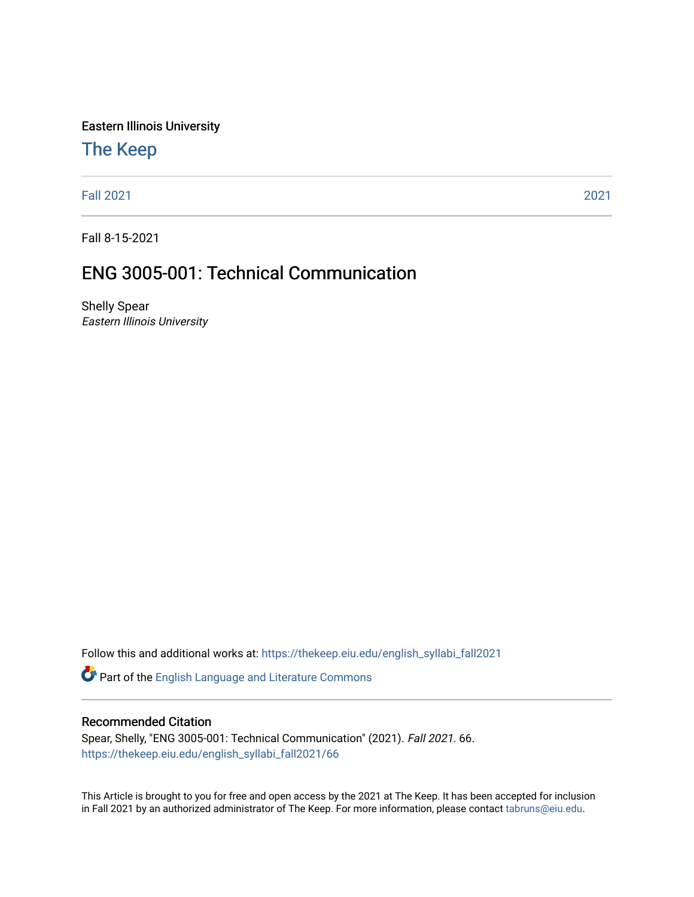Eastern Illinois University

## [The Keep](https://thekeep.eiu.edu/)

[Fall 2021](https://thekeep.eiu.edu/english_syllabi_fall2021) [2021](https://thekeep.eiu.edu/english_syllabi2021) 

Fall 8-15-2021

# ENG 3005-001: Technical Communication

Shelly Spear Eastern Illinois University

Follow this and additional works at: [https://thekeep.eiu.edu/english\\_syllabi\\_fall2021](https://thekeep.eiu.edu/english_syllabi_fall2021?utm_source=thekeep.eiu.edu%2Fenglish_syllabi_fall2021%2F66&utm_medium=PDF&utm_campaign=PDFCoverPages) 

Part of the [English Language and Literature Commons](http://network.bepress.com/hgg/discipline/455?utm_source=thekeep.eiu.edu%2Fenglish_syllabi_fall2021%2F66&utm_medium=PDF&utm_campaign=PDFCoverPages)

#### Recommended Citation

Spear, Shelly, "ENG 3005-001: Technical Communication" (2021). Fall 2021. 66. [https://thekeep.eiu.edu/english\\_syllabi\\_fall2021/66](https://thekeep.eiu.edu/english_syllabi_fall2021/66?utm_source=thekeep.eiu.edu%2Fenglish_syllabi_fall2021%2F66&utm_medium=PDF&utm_campaign=PDFCoverPages)

This Article is brought to you for free and open access by the 2021 at The Keep. It has been accepted for inclusion in Fall 2021 by an authorized administrator of The Keep. For more information, please contact [tabruns@eiu.edu](mailto:tabruns@eiu.edu).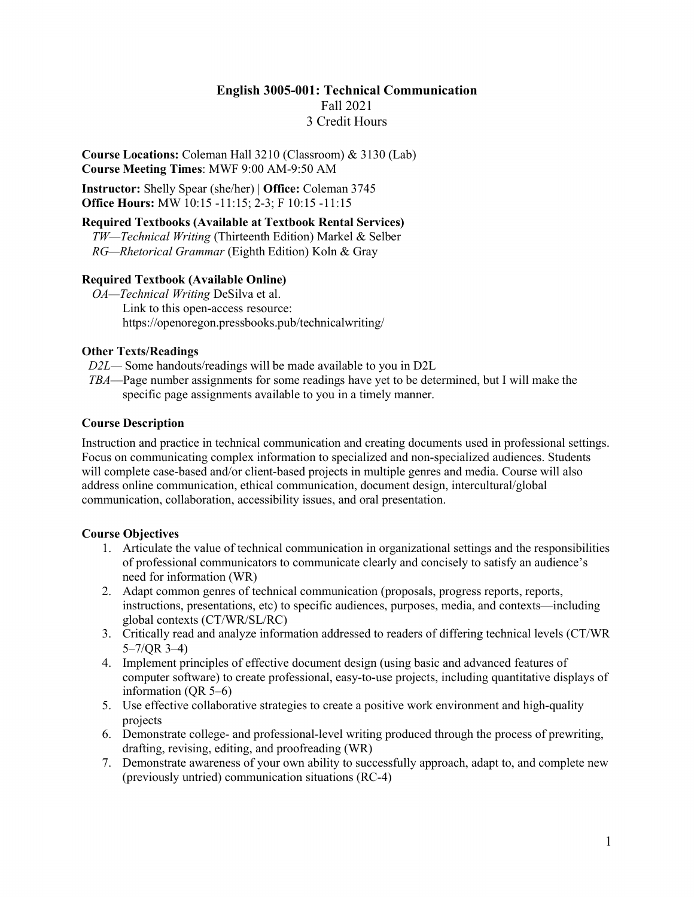## **English 3005-001: Technical Communication** Fall 2021 3 Credit Hours

**Course Locations:** Coleman Hall 3210 (Classroom) & 3130 (Lab) **Course Meeting Times**: MWF 9:00 AM-9:50 AM

**Instructor:** Shelly Spear (she/her) | **Office:** Coleman 3745 **Office Hours:** MW 10:15 -11:15; 2-3; F 10:15 -11:15

## **Required Textbooks (Available at Textbook Rental Services)**

*TW—Technical Writing* (Thirteenth Edition) Markel & Selber *RG—Rhetorical Grammar* (Eighth Edition) Koln & Gray

## **Required Textbook (Available Online)**

*OA—Technical Writing* DeSilva et al. Link to this open-access resource: https://openoregon.pressbooks.pub/technicalwriting/

## **Other Texts/Readings**

- *D2L—* Some handouts/readings will be made available to you in D2L
- *TBA*—Page number assignments for some readings have yet to be determined, but I will make the specific page assignments available to you in a timely manner.

## **Course Description**

Instruction and practice in technical communication and creating documents used in professional settings. Focus on communicating complex information to specialized and non-specialized audiences. Students will complete case-based and/or client-based projects in multiple genres and media. Course will also address online communication, ethical communication, document design, intercultural/global communication, collaboration, accessibility issues, and oral presentation.

## **Course Objectives**

- 1. Articulate the value of technical communication in organizational settings and the responsibilities of professional communicators to communicate clearly and concisely to satisfy an audience's need for information (WR)
- 2. Adapt common genres of technical communication (proposals, progress reports, reports, instructions, presentations, etc) to specific audiences, purposes, media, and contexts—including global contexts (CT/WR/SL/RC)
- 3. Critically read and analyze information addressed to readers of differing technical levels (CT/WR 5–7/QR 3–4)
- 4. Implement principles of effective document design (using basic and advanced features of computer software) to create professional, easy-to-use projects, including quantitative displays of information (QR 5–6)
- 5. Use effective collaborative strategies to create a positive work environment and high-quality projects
- 6. Demonstrate college- and professional-level writing produced through the process of prewriting, drafting, revising, editing, and proofreading (WR)
- 7. Demonstrate awareness of your own ability to successfully approach, adapt to, and complete new (previously untried) communication situations (RC-4)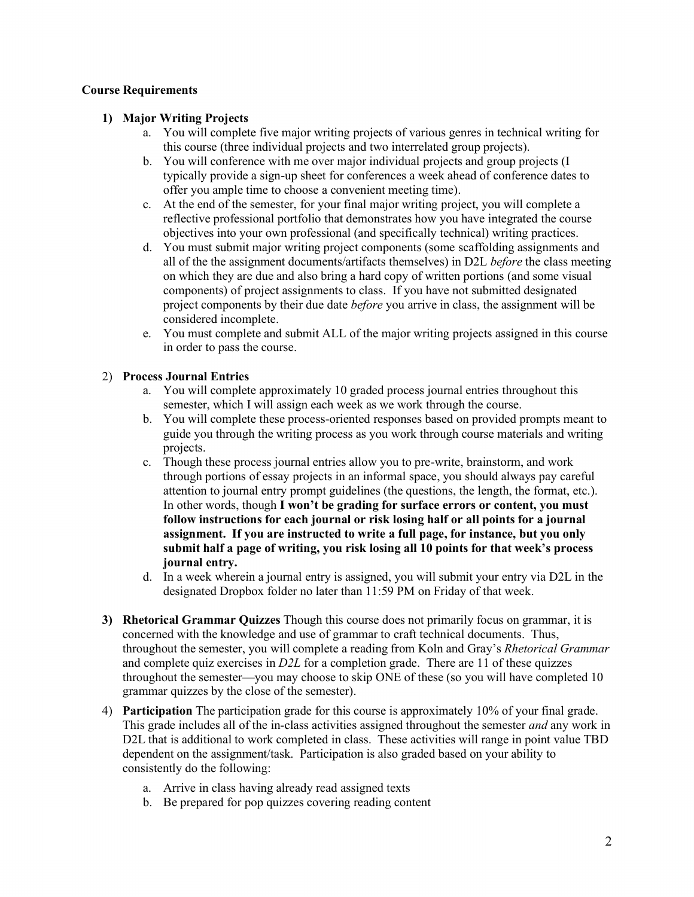## **Course Requirements**

## **1) Major Writing Projects**

- a. You will complete five major writing projects of various genres in technical writing for this course (three individual projects and two interrelated group projects).
- b. You will conference with me over major individual projects and group projects (I typically provide a sign-up sheet for conferences a week ahead of conference dates to offer you ample time to choose a convenient meeting time).
- c. At the end of the semester, for your final major writing project, you will complete a reflective professional portfolio that demonstrates how you have integrated the course objectives into your own professional (and specifically technical) writing practices.
- d. You must submit major writing project components (some scaffolding assignments and all of the the assignment documents/artifacts themselves) in D2L *before* the class meeting on which they are due and also bring a hard copy of written portions (and some visual components) of project assignments to class. If you have not submitted designated project components by their due date *before* you arrive in class, the assignment will be considered incomplete.
- e. You must complete and submit ALL of the major writing projects assigned in this course in order to pass the course.

## 2) **Process Journal Entries**

- a. You will complete approximately 10 graded process journal entries throughout this semester, which I will assign each week as we work through the course.
- b. You will complete these process-oriented responses based on provided prompts meant to guide you through the writing process as you work through course materials and writing projects.
- c. Though these process journal entries allow you to pre-write, brainstorm, and work through portions of essay projects in an informal space, you should always pay careful attention to journal entry prompt guidelines (the questions, the length, the format, etc.). In other words, though **I won't be grading for surface errors or content, you must follow instructions for each journal or risk losing half or all points for a journal assignment. If you are instructed to write a full page, for instance, but you only submit half a page of writing, you risk losing all 10 points for that week's process journal entry.**
- d. In a week wherein a journal entry is assigned, you will submit your entry via D2L in the designated Dropbox folder no later than 11:59 PM on Friday of that week.
- **3) Rhetorical Grammar Quizzes** Though this course does not primarily focus on grammar, it is concerned with the knowledge and use of grammar to craft technical documents. Thus, throughout the semester, you will complete a reading from Koln and Gray's *Rhetorical Grammar* and complete quiz exercises in *D2L* for a completion grade. There are 11 of these quizzes throughout the semester—you may choose to skip ONE of these (so you will have completed 10 grammar quizzes by the close of the semester).
- 4) **Participation** The participation grade for this course is approximately 10% of your final grade. This grade includes all of the in-class activities assigned throughout the semester *and* any work in D2L that is additional to work completed in class. These activities will range in point value TBD dependent on the assignment/task. Participation is also graded based on your ability to consistently do the following:
	- a. Arrive in class having already read assigned texts
	- b. Be prepared for pop quizzes covering reading content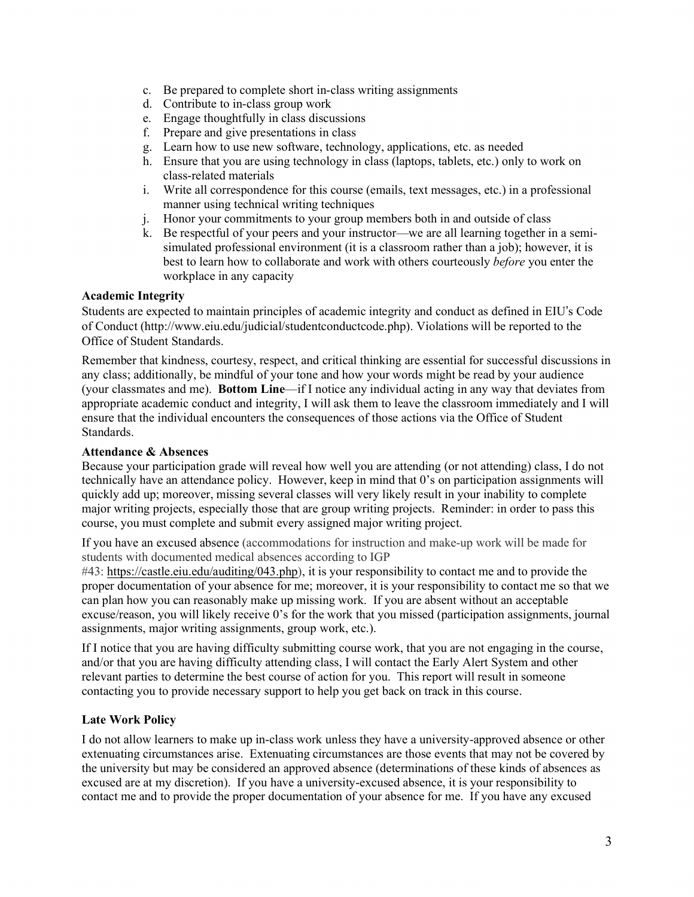- c. Be prepared to complete short in-class writing assignments
- d. Contribute to in-class group work
- e. Engage thoughtfully in class discussions
- f. Prepare and give presentations in class
- g. Learn how to use new software, technology, applications, etc. as needed
- h. Ensure that you are using technology in class (laptops, tablets, etc.) only to work on class-related materials
- i. Write all correspondence for this course (emails, text messages, etc.) in a professional manner using technical writing techniques
- j. Honor your commitments to your group members both in and outside of class
- k. Be respectful of your peers and your instructor—we are all learning together in a semisimulated professional environment (it is a classroom rather than a job); however, it is best to learn how to collaborate and work with others courteously *before* you enter the workplace in any capacity

## **Academic Integrity**

Students are expected to maintain principles of academic integrity and conduct as defined in EIU's Code of Conduct (http://www.eiu.edu/judicial/studentconductcode.php). Violations will be reported to the Office of Student Standards.

Remember that kindness, courtesy, respect, and critical thinking are essential for successful discussions in any class; additionally, be mindful of your tone and how your words might be read by your audience (your classmates and me). **Bottom Line**—if I notice any individual acting in any way that deviates from appropriate academic conduct and integrity, I will ask them to leave the classroom immediately and I will ensure that the individual encounters the consequences of those actions via the Office of Student Standards.

#### **Attendance & Absences**

Because your participation grade will reveal how well you are attending (or not attending) class, I do not technically have an attendance policy. However, keep in mind that 0's on participation assignments will quickly add up; moreover, missing several classes will very likely result in your inability to complete major writing projects, especially those that are group writing projects. Reminder: in order to pass this course, you must complete and submit every assigned major writing project.

If you have an excused absence (accommodations for instruction and make-up work will be made for students with documented medical absences according to IGP

#43: https://castle.eiu.edu/auditing/043.php), it is your responsibility to contact me and to provide the proper documentation of your absence for me; moreover, it is your responsibility to contact me so that we can plan how you can reasonably make up missing work. If you are absent without an acceptable excuse/reason, you will likely receive 0's for the work that you missed (participation assignments, journal assignments, major writing assignments, group work, etc.).

If I notice that you are having difficulty submitting course work, that you are not engaging in the course, and/or that you are having difficulty attending class, I will contact the Early Alert System and other relevant parties to determine the best course of action for you. This report will result in someone contacting you to provide necessary support to help you get back on track in this course.

## **Late Work Policy**

I do not allow learners to make up in-class work unless they have a university-approved absence or other extenuating circumstances arise. Extenuating circumstances are those events that may not be covered by the university but may be considered an approved absence (determinations of these kinds of absences as excused are at my discretion). If you have a university-excused absence, it is your responsibility to contact me and to provide the proper documentation of your absence for me. If you have any excused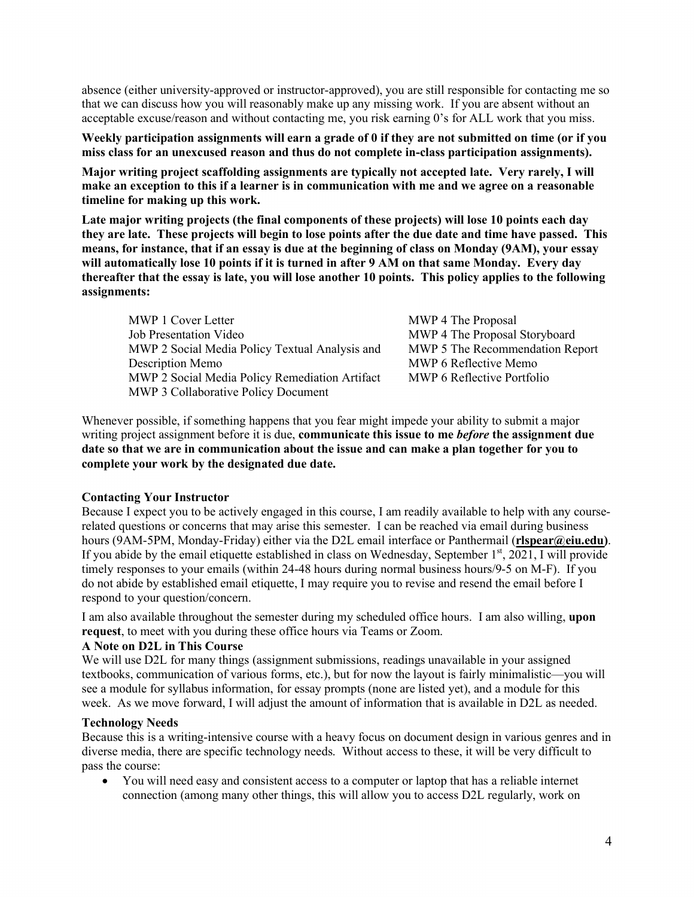absence (either university-approved or instructor-approved), you are still responsible for contacting me so that we can discuss how you will reasonably make up any missing work. If you are absent without an acceptable excuse/reason and without contacting me, you risk earning 0's for ALL work that you miss.

**Weekly participation assignments will earn a grade of 0 if they are not submitted on time (or if you miss class for an unexcused reason and thus do not complete in-class participation assignments).**

**Major writing project scaffolding assignments are typically not accepted late. Very rarely, I will make an exception to this if a learner is in communication with me and we agree on a reasonable timeline for making up this work.**

**Late major writing projects (the final components of these projects) will lose 10 points each day they are late. These projects will begin to lose points after the due date and time have passed. This means, for instance, that if an essay is due at the beginning of class on Monday (9AM), your essay will automatically lose 10 points if it is turned in after 9 AM on that same Monday. Every day thereafter that the essay is late, you will lose another 10 points. This policy applies to the following assignments:**

| <b>MWP 1 Cover Letter</b>                      | <b>MWP</b> |
|------------------------------------------------|------------|
| <b>Job Presentation Video</b>                  | <b>MWP</b> |
| MWP 2 Social Media Policy Textual Analysis and | <b>MWP</b> |
| Description Memo                               | <b>MWP</b> |
| MWP 2 Social Media Policy Remediation Artifact | <b>MWP</b> |
| MWP 3 Collaborative Policy Document            |            |

4 The Proposal 4 The Proposal Storyboard 5 The Recommendation Report 6 Reflective Memo 6 Reflective Portfolio

Whenever possible, if something happens that you fear might impede your ability to submit a major writing project assignment before it is due, **communicate this issue to me** *before* **the assignment due date so that we are in communication about the issue and can make a plan together for you to complete your work by the designated due date.** 

#### **Contacting Your Instructor**

Because I expect you to be actively engaged in this course, I am readily available to help with any courserelated questions or concerns that may arise this semester. I can be reached via email during business hours (9AM-5PM, Monday-Friday) either via the D2L email interface or Panthermail (**rlspear@eiu.edu)**. If you abide by the email etiquette established in class on Wednesday, September 1st, 2021, I will provide timely responses to your emails (within 24-48 hours during normal business hours/9-5 on M-F). If you do not abide by established email etiquette, I may require you to revise and resend the email before I respond to your question/concern.

I am also available throughout the semester during my scheduled office hours. I am also willing, **upon request**, to meet with you during these office hours via Teams or Zoom.

#### **A Note on D2L in This Course**

We will use D2L for many things (assignment submissions, readings unavailable in your assigned textbooks, communication of various forms, etc.), but for now the layout is fairly minimalistic—you will see a module for syllabus information, for essay prompts (none are listed yet), and a module for this week. As we move forward, I will adjust the amount of information that is available in D2L as needed.

#### **Technology Needs**

Because this is a writing-intensive course with a heavy focus on document design in various genres and in diverse media, there are specific technology needs. Without access to these, it will be very difficult to pass the course:

• You will need easy and consistent access to a computer or laptop that has a reliable internet connection (among many other things, this will allow you to access D2L regularly, work on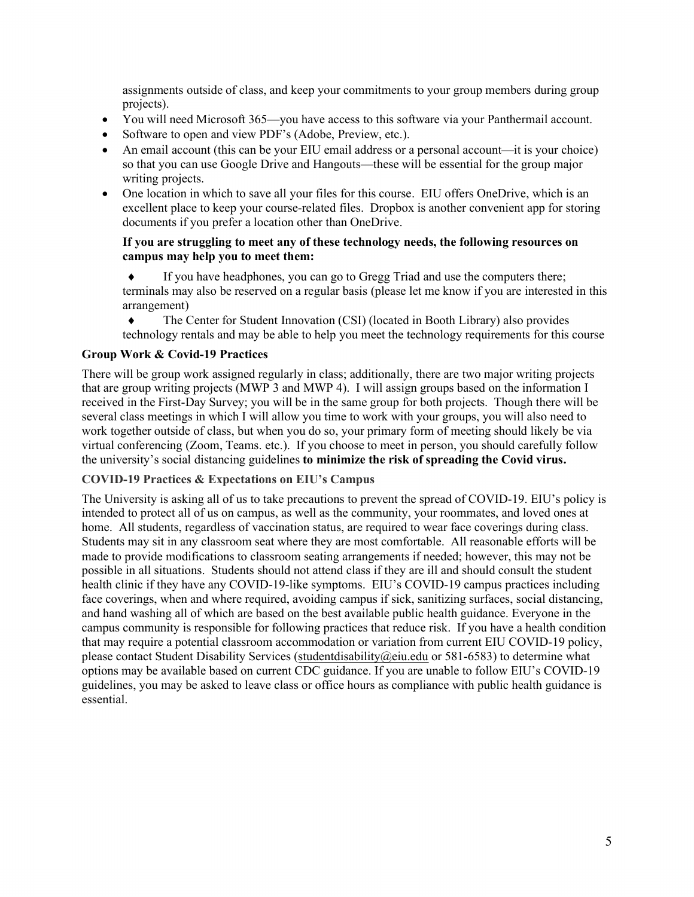assignments outside of class, and keep your commitments to your group members during group projects).

- You will need Microsoft 365—you have access to this software via your Panthermail account.
- Software to open and view PDF's (Adobe, Preview, etc.).
- An email account (this can be your EIU email address or a personal account—it is your choice) so that you can use Google Drive and Hangouts—these will be essential for the group major writing projects.
- One location in which to save all your files for this course. EIU offers OneDrive, which is an excellent place to keep your course-related files. Dropbox is another convenient app for storing documents if you prefer a location other than OneDrive.

#### **If you are struggling to meet any of these technology needs, the following resources on campus may help you to meet them:**

If you have headphones, you can go to Gregg Triad and use the computers there; terminals may also be reserved on a regular basis (please let me know if you are interested in this arrangement)

• The Center for Student Innovation (CSI) (located in Booth Library) also provides technology rentals and may be able to help you meet the technology requirements for this course

## **Group Work & Covid-19 Practices**

There will be group work assigned regularly in class; additionally, there are two major writing projects that are group writing projects (MWP 3 and MWP 4). I will assign groups based on the information I received in the First-Day Survey; you will be in the same group for both projects. Though there will be several class meetings in which I will allow you time to work with your groups, you will also need to work together outside of class, but when you do so, your primary form of meeting should likely be via virtual conferencing (Zoom, Teams. etc.). If you choose to meet in person, you should carefully follow the university's social distancing guidelines **to minimize the risk of spreading the Covid virus.** 

## **COVID-19 Practices & Expectations on EIU's Campus**

The University is asking all of us to take precautions to prevent the spread of COVID-19. EIU's policy is intended to protect all of us on campus, as well as the community, your roommates, and loved ones at home. All students, regardless of vaccination status, are required to wear face coverings during class. Students may sit in any classroom seat where they are most comfortable. All reasonable efforts will be made to provide modifications to classroom seating arrangements if needed; however, this may not be possible in all situations. Students should not attend class if they are ill and should consult the student health clinic if they have any COVID-19-like symptoms. EIU's COVID-19 campus practices including face coverings, when and where required, avoiding campus if sick, sanitizing surfaces, social distancing, and hand washing all of which are based on the best available public health guidance. Everyone in the campus community is responsible for following practices that reduce risk. If you have a health condition that may require a potential classroom accommodation or variation from current EIU COVID-19 policy, please contact Student Disability Services (studentdisability@eiu.edu or 581-6583) to determine what options may be available based on current CDC guidance. If you are unable to follow EIU's COVID-19 guidelines, you may be asked to leave class or office hours as compliance with public health guidance is essential.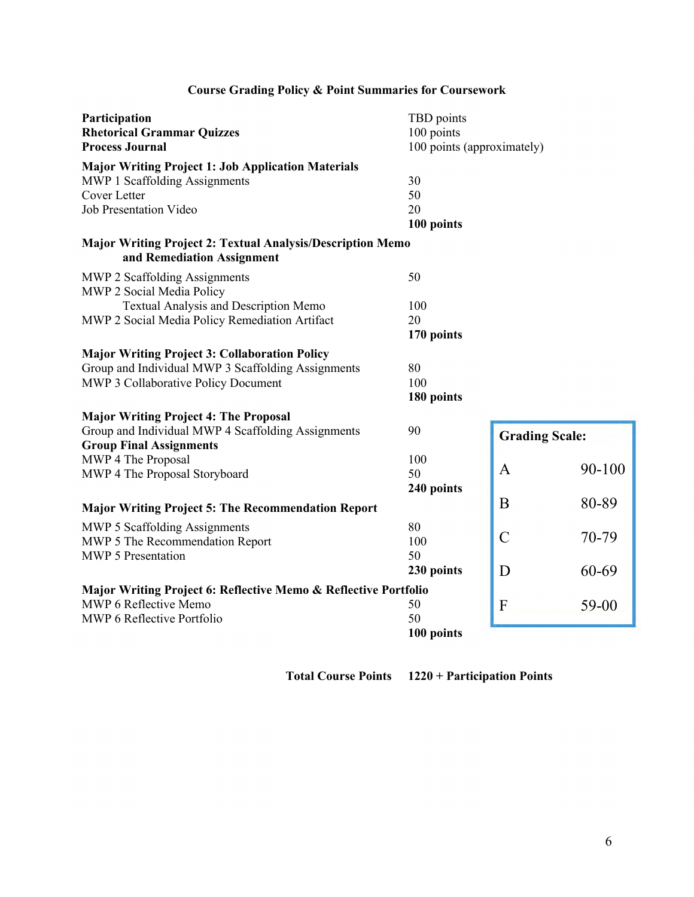| Participation<br><b>Rhetorical Grammar Quizzes</b><br><b>Process Journal</b>                    | TBD points<br>100 points<br>100 points (approximately) |                       |           |
|-------------------------------------------------------------------------------------------------|--------------------------------------------------------|-----------------------|-----------|
| <b>Major Writing Project 1: Job Application Materials</b>                                       |                                                        |                       |           |
| MWP 1 Scaffolding Assignments                                                                   | 30                                                     |                       |           |
| <b>Cover Letter</b>                                                                             | 50                                                     |                       |           |
| <b>Job Presentation Video</b>                                                                   | 20                                                     |                       |           |
|                                                                                                 | 100 points                                             |                       |           |
| <b>Major Writing Project 2: Textual Analysis/Description Memo</b><br>and Remediation Assignment |                                                        |                       |           |
| MWP 2 Scaffolding Assignments<br>MWP 2 Social Media Policy                                      | 50                                                     |                       |           |
| Textual Analysis and Description Memo                                                           | 100                                                    |                       |           |
| MWP 2 Social Media Policy Remediation Artifact                                                  | 20                                                     |                       |           |
|                                                                                                 | 170 points                                             |                       |           |
| <b>Major Writing Project 3: Collaboration Policy</b>                                            |                                                        |                       |           |
| Group and Individual MWP 3 Scaffolding Assignments                                              | 80                                                     |                       |           |
| MWP 3 Collaborative Policy Document                                                             | 100                                                    |                       |           |
|                                                                                                 | 180 points                                             |                       |           |
| <b>Major Writing Project 4: The Proposal</b>                                                    |                                                        |                       |           |
| Group and Individual MWP 4 Scaffolding Assignments                                              | 90                                                     | <b>Grading Scale:</b> |           |
| <b>Group Final Assignments</b>                                                                  |                                                        |                       |           |
| MWP 4 The Proposal                                                                              | 100                                                    |                       |           |
| MWP 4 The Proposal Storyboard                                                                   | 50                                                     | A                     | 90-100    |
|                                                                                                 | 240 points                                             |                       |           |
| <b>Major Writing Project 5: The Recommendation Report</b>                                       |                                                        | B                     | 80-89     |
| MWP 5 Scaffolding Assignments                                                                   | 80                                                     |                       |           |
| MWP 5 The Recommendation Report                                                                 | 100                                                    | $\overline{C}$        | 70-79     |
| MWP 5 Presentation                                                                              | 50                                                     |                       |           |
|                                                                                                 | 230 points                                             | D                     | 60-69     |
| Major Writing Project 6: Reflective Memo & Reflective Portfolio                                 |                                                        |                       |           |
| MWP 6 Reflective Memo                                                                           | 50                                                     | $\mathbf{F}$          | $59 - 00$ |
| MWP 6 Reflective Portfolio                                                                      | 50                                                     |                       |           |
|                                                                                                 | 100 points                                             |                       |           |

## **Course Grading Policy & Point Summaries for Coursework**

**Total Course Points 1220 + Participation Points**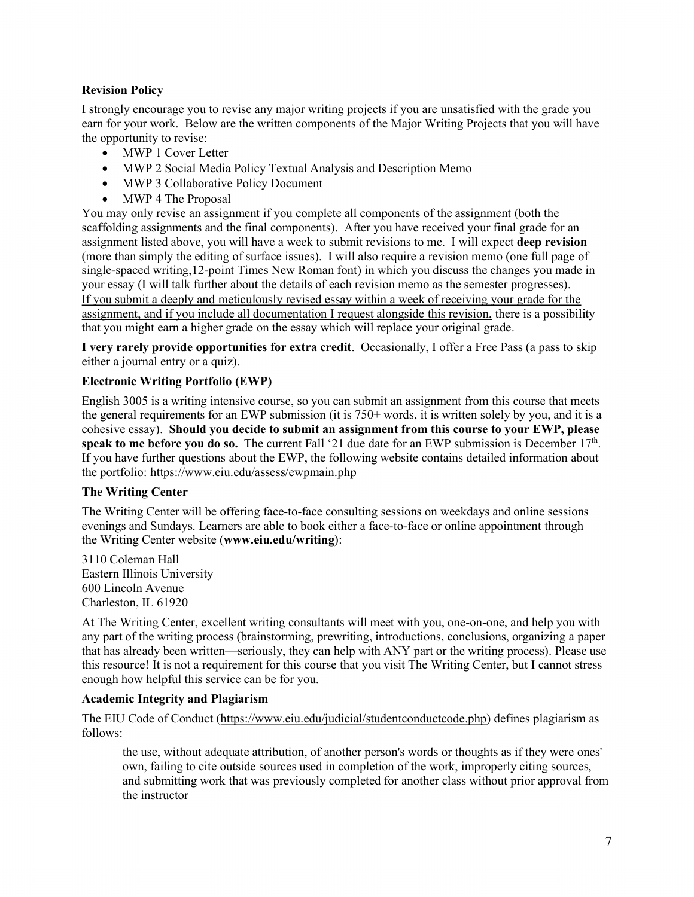## **Revision Policy**

I strongly encourage you to revise any major writing projects if you are unsatisfied with the grade you earn for your work. Below are the written components of the Major Writing Projects that you will have the opportunity to revise:

- MWP 1 Cover Letter
- MWP 2 Social Media Policy Textual Analysis and Description Memo
- MWP 3 Collaborative Policy Document
- MWP 4 The Proposal

You may only revise an assignment if you complete all components of the assignment (both the scaffolding assignments and the final components). After you have received your final grade for an assignment listed above, you will have a week to submit revisions to me. I will expect **deep revision** (more than simply the editing of surface issues). I will also require a revision memo (one full page of single-spaced writing,12-point Times New Roman font) in which you discuss the changes you made in your essay (I will talk further about the details of each revision memo as the semester progresses). If you submit a deeply and meticulously revised essay within a week of receiving your grade for the assignment, and if you include all documentation I request alongside this revision, there is a possibility that you might earn a higher grade on the essay which will replace your original grade.

**I very rarely provide opportunities for extra credit**. Occasionally, I offer a Free Pass (a pass to skip either a journal entry or a quiz).

#### **Electronic Writing Portfolio (EWP)**

English 3005 is a writing intensive course, so you can submit an assignment from this course that meets the general requirements for an EWP submission (it is 750+ words, it is written solely by you, and it is a cohesive essay). **Should you decide to submit an assignment from this course to your EWP, please speak to me before you do so.** The current Fall '21 due date for an EWP submission is December  $17<sup>th</sup>$ . If you have further questions about the EWP, the following website contains detailed information about the portfolio: https://www.eiu.edu/assess/ewpmain.php

#### **The Writing Center**

The Writing Center will be offering face-to-face consulting sessions on weekdays and online sessions evenings and Sundays. Learners are able to book either a face-to-face or online appointment through the Writing Center website (**www.eiu.edu/writing**):

3110 Coleman Hall Eastern Illinois University 600 Lincoln Avenue Charleston, IL 61920

At The Writing Center, excellent writing consultants will meet with you, one-on-one, and help you with any part of the writing process (brainstorming, prewriting, introductions, conclusions, organizing a paper that has already been written—seriously, they can help with ANY part or the writing process). Please use this resource! It is not a requirement for this course that you visit The Writing Center, but I cannot stress enough how helpful this service can be for you.

#### **Academic Integrity and Plagiarism**

The EIU Code of Conduct (https://www.eiu.edu/judicial/studentconductcode.php) defines plagiarism as follows:

the use, without adequate attribution, of another person's words or thoughts as if they were ones' own, failing to cite outside sources used in completion of the work, improperly citing sources, and submitting work that was previously completed for another class without prior approval from the instructor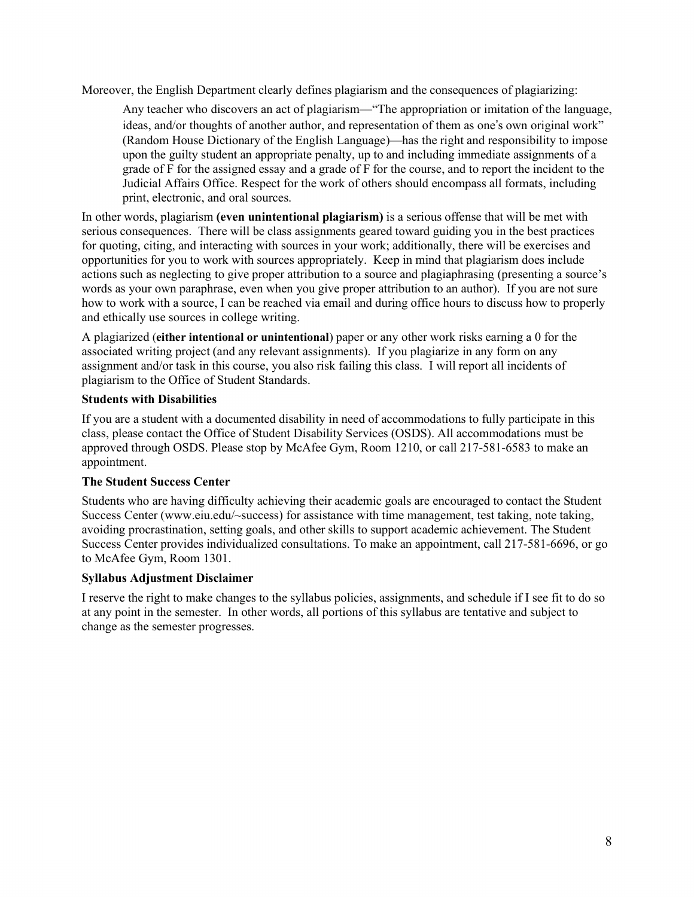Moreover, the English Department clearly defines plagiarism and the consequences of plagiarizing:

Any teacher who discovers an act of plagiarism—"The appropriation or imitation of the language, ideas, and/or thoughts of another author, and representation of them as one's own original work" (Random House Dictionary of the English Language)—has the right and responsibility to impose upon the guilty student an appropriate penalty, up to and including immediate assignments of a grade of F for the assigned essay and a grade of F for the course, and to report the incident to the Judicial Affairs Office. Respect for the work of others should encompass all formats, including print, electronic, and oral sources.

In other words, plagiarism **(even unintentional plagiarism)** is a serious offense that will be met with serious consequences. There will be class assignments geared toward guiding you in the best practices for quoting, citing, and interacting with sources in your work; additionally, there will be exercises and opportunities for you to work with sources appropriately. Keep in mind that plagiarism does include actions such as neglecting to give proper attribution to a source and plagiaphrasing (presenting a source's words as your own paraphrase, even when you give proper attribution to an author). If you are not sure how to work with a source, I can be reached via email and during office hours to discuss how to properly and ethically use sources in college writing.

A plagiarized (**either intentional or unintentional**) paper or any other work risks earning a 0 for the associated writing project (and any relevant assignments). If you plagiarize in any form on any assignment and/or task in this course, you also risk failing this class. I will report all incidents of plagiarism to the Office of Student Standards.

## **Students with Disabilities**

If you are a student with a documented disability in need of accommodations to fully participate in this class, please contact the Office of Student Disability Services (OSDS). All accommodations must be approved through OSDS. Please stop by McAfee Gym, Room 1210, or call 217-581-6583 to make an appointment.

## **The Student Success Center**

Students who are having difficulty achieving their academic goals are encouraged to contact the Student Success Center (www.eiu.edu/~success) for assistance with time management, test taking, note taking, avoiding procrastination, setting goals, and other skills to support academic achievement. The Student Success Center provides individualized consultations. To make an appointment, call 217-581-6696, or go to McAfee Gym, Room 1301.

#### **Syllabus Adjustment Disclaimer**

I reserve the right to make changes to the syllabus policies, assignments, and schedule if I see fit to do so at any point in the semester. In other words, all portions of this syllabus are tentative and subject to change as the semester progresses.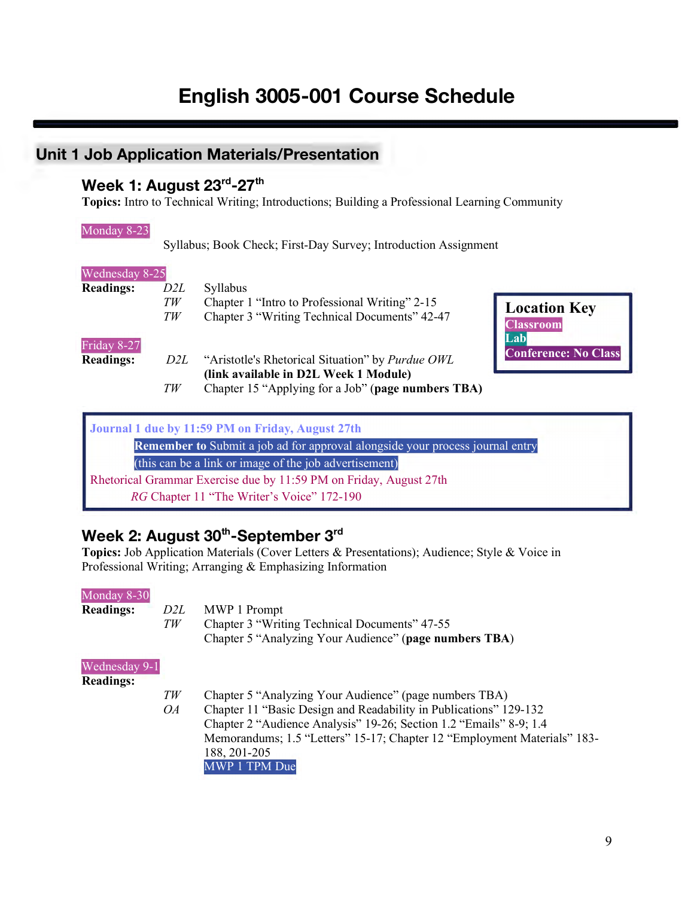# **English 3005-001 Course Schedule**

# **Unit 1 Job Application Materials/Presentation**

## **Week 1: August 23rd-27th**

**Topics:** Intro to Technical Writing; Introductions; Building a Professional Learning Community<br>
Monday 8-23<br>
Syllabus; Book Check; First-Day Survey; Introduction Assignment

#### Monday 8-23

Syllabus; Book Check; First-Day Survey; Introduction Assignment

| Wednesday 8-25   |     |                                                                                                                                          |
|------------------|-----|------------------------------------------------------------------------------------------------------------------------------------------|
| <b>Readings:</b> | D2L | Syllabus                                                                                                                                 |
|                  | TW  | Chapter 1 "Intro to Professional Writing" 2-15<br><b>Location Key</b>                                                                    |
| Friday 8-27      | TW  | Chapter 3 "Writing Technical Documents" 42-47<br><b>Classroom</b><br>Lab                                                                 |
| <b>Readings:</b> | D2L | <b>Conference: No Class</b><br>"Aristotle's Rhetorical Situation" by <i>Purdue OWL</i><br>(link available in D2L Week 1 Module)          |
|                  | TW  | Chapter 15 "Applying for a Job" (page numbers TBA)                                                                                       |
|                  |     | Journal 1 due by 11:59 PM on Friday, August 27th<br><b>Remember to</b> Submit a job ad for approval alongside your process journal entry |
|                  |     | (this can be a link or image of the job advertisement)                                                                                   |

Rhetorical Grammar Exercise due by 11:59 PM on Friday, August 27th *RG* Chapter 11 "The Writer's Voice" 172-190

## **Week 2: August 30th-September 3rd**

**Topics:** Job Application Materials (Cover Letters & Presentations); Audience; Style & Voice in

|                                   |           | Topics, voo Tippheanon matemats (Cover Eettels & Hesentanons), Tudience, Style & Volve in<br>Professional Writing; Arranging & Emphasizing Information                                                                                                                                                         |
|-----------------------------------|-----------|----------------------------------------------------------------------------------------------------------------------------------------------------------------------------------------------------------------------------------------------------------------------------------------------------------------|
| Monday 8-30<br><b>Readings:</b>   | D2L<br>TW | MWP 1 Prompt<br>Chapter 3 "Writing Technical Documents" 47-55<br>Chapter 5 "Analyzing Your Audience" (page numbers TBA)                                                                                                                                                                                        |
| Wednesday 9-1<br><b>Readings:</b> | TW<br>OA  | Chapter 5 "Analyzing Your Audience" (page numbers TBA)<br>Chapter 11 "Basic Design and Readability in Publications" 129-132<br>Chapter 2 "Audience Analysis" 19-26; Section 1.2 "Emails" 8-9; 1.4<br>Memorandums; 1.5 "Letters" 15-17; Chapter 12 "Employment Materials" 183-<br>188, 201-205<br>MWP 1 TPM Due |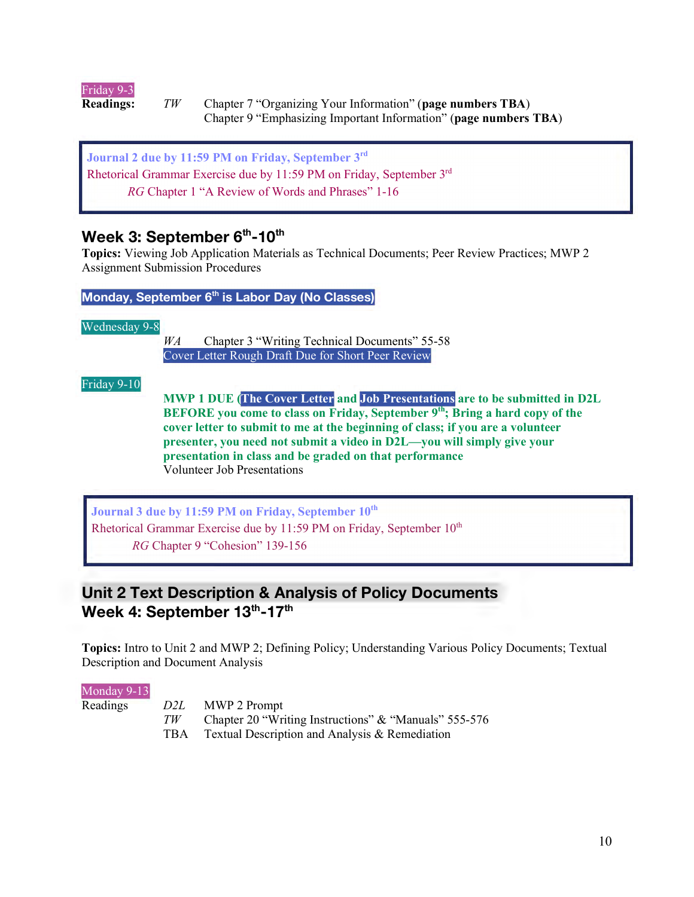

**Readings:** *TW* Chapter 7 "Organizing Your Information" (**page numbers TBA**) Chapter 9 "Emphasizing Important Information" (**page numbers TBA**)

**Journal 2 due by 11:59 PM on Friday, September 3rd**  Rhetorical Grammar Exercise due by 11:59 PM on Friday, September 3rd *RG* Chapter 1 "A Review of Words and Phrases" 1-16

## **Week 3: September 6<sup>th</sup>-10<sup>th</sup>**

**Topics:** Viewing Job Application Materials as Technical Documents; Peer Review Practices; MWP 2 Assignment Submission Procedures

**Monday, September 6th is Labor Day (No Classes)**

Wednesday 9-8

*WA* Chapter 3 "Writing Technical Documents" 55-58 Cover Letter Rough Draft Due for Short Peer Review

Friday 9-10 **Frida** 

**MWP 1 DUE (The Cover Letter and Job Presentations are to be submitted in D2L BEFORE** you come to class on Friday, September 9<sup>th</sup>; Bring a hard copy of the **cover letter to submit to me at the beginning of class; if you are a volunteer presenter, you need not submit a video in D2L—you will simply give your presentation in class and be graded on that performance**  Volunteer Job Presentations

**Journal 3 due by 11:59 PM on Friday, September 10th**  Rhetorical Grammar Exercise due by  $11:59$  PM on Friday, September  $10<sup>th</sup>$ *RG* Chapter 9 "Cohesion" 139-156

## **Unit 2 Text Description & Analysis of Policy Documents** Week 4: September 13<sup>th</sup>-17<sup>th</sup>

**Topics:** Intro to Unit 2 and MWP 2; Defining Policy; Understanding Various Policy Documents; Textual Propress. Into to Unit 2 and NVW1 2,<br>
Description and Document Analysis<br>
Monday 9-13<br>
Readings<br>  $D2L$  MWP 2 Propress TW Chapter 20

#### Monday 9-13

- Readings *D2L* MWP 2 Prompt
	- *TW* Chapter 20 "Writing Instructions" & "Manuals" 555-576
	- TBA Textual Description and Analysis & Remediation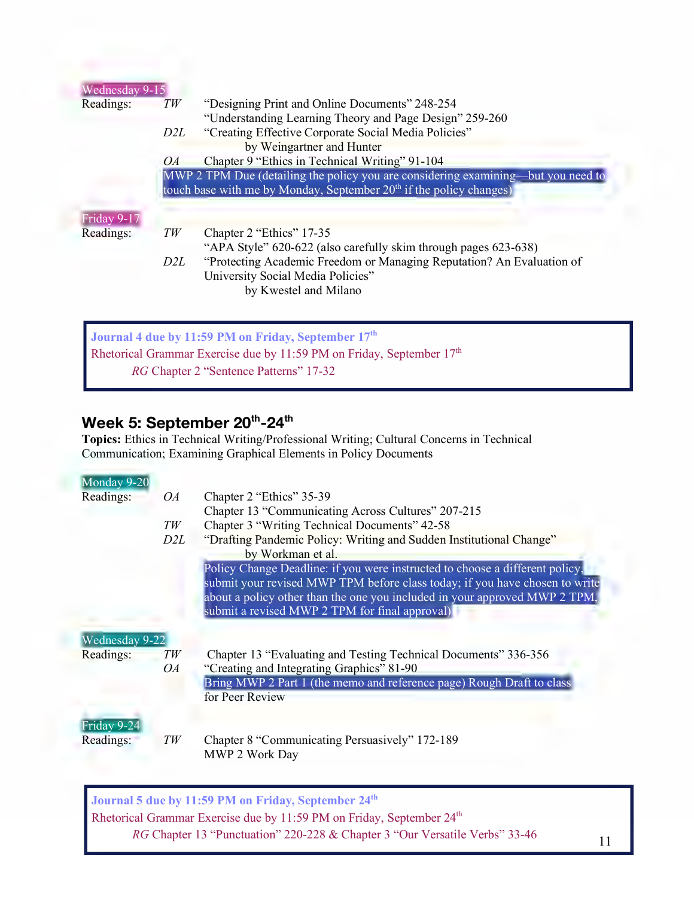| <b>Wednesday 9-15</b> |                                                                                   |
|-----------------------|-----------------------------------------------------------------------------------|
| Readings:             | "Designing Print and Online Documents" 248-254<br>TW                              |
|                       | "Understanding Learning Theory and Page Design" 259-260                           |
|                       | "Creating Effective Corporate Social Media Policies"<br>D2L                       |
|                       | by Weingartner and Hunter                                                         |
|                       | Chapter 9 "Ethics in Technical Writing" 91-104<br><i>OA</i>                       |
|                       | MWP 2 TPM Due (detailing the policy you are considering examining—but you need to |
|                       | touch base with me by Monday, September 20 <sup>th</sup> if the policy changes)   |
|                       |                                                                                   |
| Friday 9-17           |                                                                                   |
| Readings:             | TW<br>Chapter 2 "Ethics" 17-35                                                    |
|                       |                                                                                   |
|                       | "APA Style" 620-622 (also carefully skim through pages 623-638)                   |
|                       | "Protecting Academic Freedom or Managing Reputation? An Evaluation of<br>D2L      |
|                       | University Social Media Policies"                                                 |
|                       | by Kwestel and Milano                                                             |
|                       |                                                                                   |
|                       |                                                                                   |

Rhetorical Grammar Exercise due by 11:59 PM on Friday, September  $17<sup>th</sup>$ *RG* Chapter 2 "Sentence Patterns" 17-32

## Week 5: September 20<sup>th</sup>-24<sup>th</sup>

**Topics:** Ethics in Technical Writing/Professional Writing; Cultural Concerns in Technical

|                |     | ropresi Ethics in recument writing referencial writing, cuitum concerns in recument<br>Communication; Examining Graphical Elements in Policy Documents |
|----------------|-----|--------------------------------------------------------------------------------------------------------------------------------------------------------|
| Monday 9-20    |     |                                                                                                                                                        |
| Readings:      | OA  | Chapter 2 "Ethics" 35-39                                                                                                                               |
|                |     | Chapter 13 "Communicating Across Cultures" 207-215                                                                                                     |
|                | TW  | Chapter 3 "Writing Technical Documents" 42-58                                                                                                          |
|                | D2L | "Drafting Pandemic Policy: Writing and Sudden Institutional Change"                                                                                    |
|                |     | by Workman et al.                                                                                                                                      |
|                |     | Policy Change Deadline: if you were instructed to choose a different policy,                                                                           |
|                |     | submit your revised MWP TPM before class today; if you have chosen to write                                                                            |
|                |     | about a policy other than the one you included in your approved MWP 2 TPM,                                                                             |
|                |     | submit a revised MWP 2 TPM for final approval)                                                                                                         |
|                |     |                                                                                                                                                        |
| Wednesday 9-22 |     |                                                                                                                                                        |
| Readings:      | TW  | Chapter 13 "Evaluating and Testing Technical Documents" 336-356                                                                                        |
|                | OA  | "Creating and Integrating Graphics" 81-90                                                                                                              |
|                |     | Bring MWP 2 Part 1 (the memo and reference page) Rough Draft to class                                                                                  |
|                |     | for Peer Review                                                                                                                                        |
|                |     |                                                                                                                                                        |
| Friday 9-24    |     |                                                                                                                                                        |
| Readings:      | TW  | Chapter 8 "Communicating Persuasively" 172-189                                                                                                         |
|                |     | MWP 2 Work Day                                                                                                                                         |

**Journal 5 due by 11:59 PM on Friday, September 24th**  Rhetorical Grammar Exercise due by 11:59 PM on Friday, September 24<sup>th</sup> *RG* Chapter 13 "Punctuation" 220-228 & Chapter 3 "Our Versatile Verbs" 33-46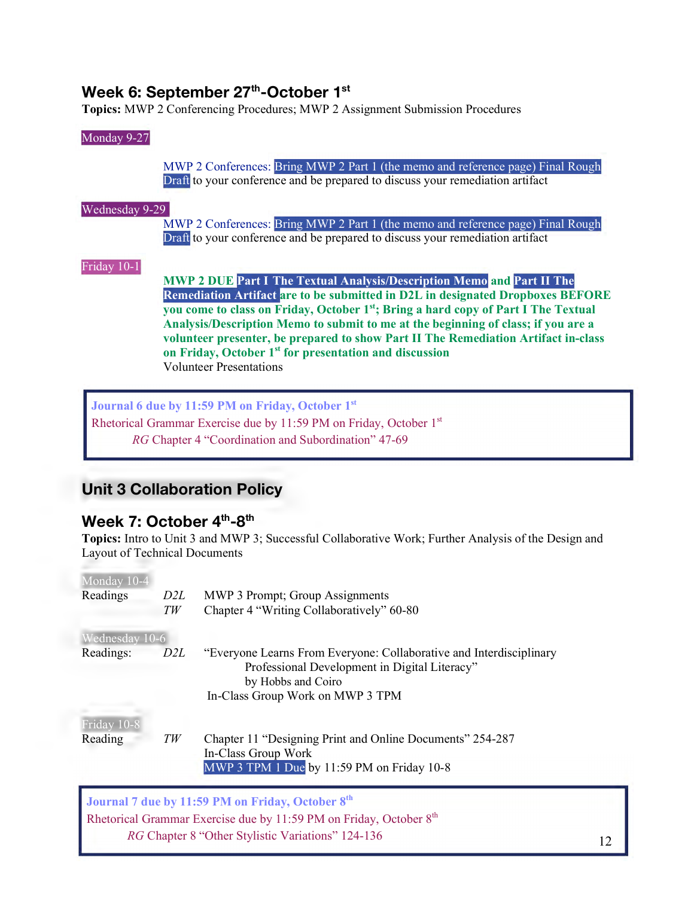## **Week 6: September 27<sup>th</sup>-October 1<sup>st</sup>**

## Monday 9-27

**Topics:** MWP 2 Conferencing Procedures; MWP 2 Assignment Submission Procedures<br>
Monday 9-27<br>
MWP 2 Conferences: Bring MWP 2 Part 1 (the memo and reference page MWP 2 Conferences: Bring MWP 2 Part 1 (the memo and reference page) Final Rough Draft to your conference and be prepared to discuss your remediation artifact

#### Wednesday 9-29

MWP 2 Conferences: Bring MWP 2 Part 1 (the memo and reference page) Final Rough Draft to your conference and be prepared to discuss your remediation artifact

# Friday 10-1 **Frida**

**MWP 2 DUE Part I The Textual Analysis/Description Memo and Part II The Remediation Artifact are to be submitted in D2L in designated Dropboxes BEFORE you come to class on Friday, October 1st; Bring a hard copy of Part I The Textual Analysis/Description Memo to submit to me at the beginning of class; if you are a volunteer presenter, be prepared to show Part II The Remediation Artifact in-class on Friday, October 1st for presentation and discussion** Volunteer Presentations artha<br>Part<br>+ I T<br>+ I T

**Journal 6 due by 11:59 PM on Friday, October 1st**  Rhetorical Grammar Exercise due by 11:59 PM on Friday, October 1st *RG* Chapter 4 "Coordination and Subordination" 47-69

## **Unit 3 Collaboration Policy**

## Week 7: October 4<sup>th</sup>-8<sup>th</sup>

**Topics:** Intro to Unit 3 and MWP 3; Successful Collaborative Work; Further Analysis of the Design and

j

| Layout of Technical Documents |     | Tupics, may be only and may be cossitated nave work, I didn't than you be the Design                                                       |
|-------------------------------|-----|--------------------------------------------------------------------------------------------------------------------------------------------|
| Monday 10-4                   |     |                                                                                                                                            |
| Readings                      | D2L | MWP 3 Prompt; Group Assignments                                                                                                            |
|                               | TW  | Chapter 4 "Writing Collaboratively" 60-80                                                                                                  |
| Wednesday 10-6                |     |                                                                                                                                            |
| Readings:                     | D2L | "Everyone Learns From Everyone: Collaborative and Interdisciplinary<br>Professional Development in Digital Literacy"<br>by Hobbs and Coiro |
|                               |     | In-Class Group Work on MWP 3 TPM                                                                                                           |
| Friday 10-8                   |     |                                                                                                                                            |
| Reading                       | TW  | Chapter 11 "Designing Print and Online Documents" 254-287<br>In-Class Group Work<br>MWP 3 TPM 1 Due by 11:59 PM on Friday 10-8             |
|                               |     |                                                                                                                                            |

**Journal 7 due by 11:59 PM on Friday, October 8th**  Rhetorical Grammar Exercise due by 11:59 PM on Friday, October  $8<sup>th</sup>$ *RG* Chapter 8 "Other Stylistic Variations" 124-136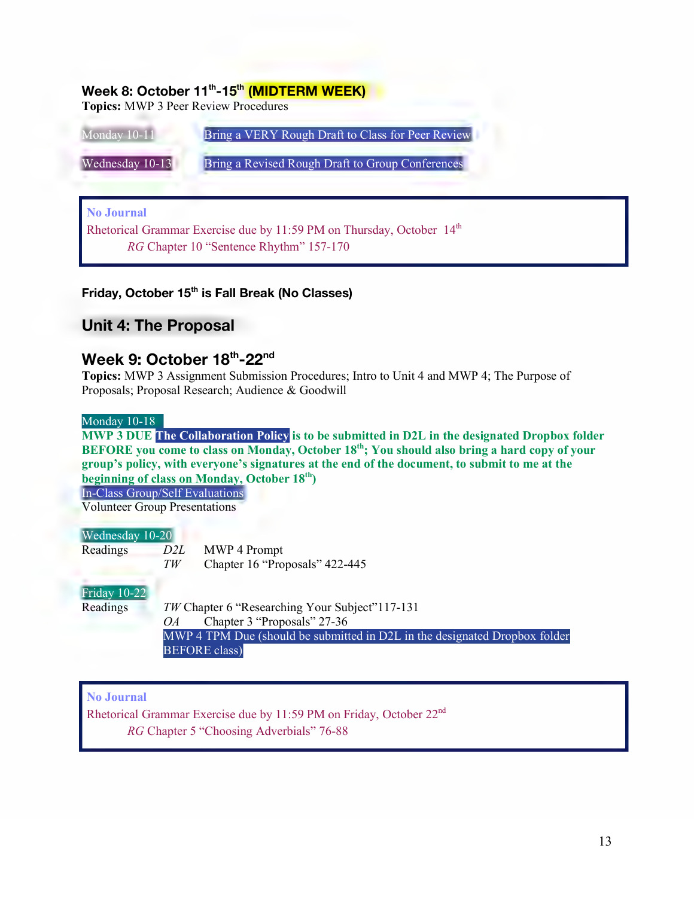## **Week 8: October 11<sup>th</sup>-15<sup>th</sup> (MIDTERM WEEK)**

**Topics:** MWP 3 Peer Review Procedures

| Monday 10-11      | Bring a VERY Rough Draft to Class for Peer Review                                 |
|-------------------|-----------------------------------------------------------------------------------|
| Wednesday 10-13   | Bring a Revised Rough Draft to Group Conferences                                  |
|                   |                                                                                   |
| <b>No Journal</b> |                                                                                   |
|                   | Rhetorical Grammar Exercise due by 11:59 PM on Thursday, October 14 <sup>th</sup> |
|                   | RG Chapter 10 "Sentence Rhythm" 157-170                                           |
|                   |                                                                                   |

## **Friday, October 15th is Fall Break (No Classes)**

## **Unit 4: The Proposal**

## **Week 9: October 18th-22nd**

**Topics:** MWP 3 Assignment Submission Procedures; Intro to Unit 4 and MWP 4; The Purpose of Proposals; Proposal Research; Audience & Goodwill

#### Monday 10-18

**MWP 3 DUE The Collaboration Policy is to be submitted in D2L in the designated Dropbox folder BEFORE you come to class on Monday, October 18th; You should also bring a hard copy of your group's policy, with everyone's signatures at the end of the document, to submit to me at the beginning of class on Monday, October 18th)**

In-Class Group/Self Evaluations

Volunteer Group Presentations

| Wednesday 10-20     |     |                                                                                                                                                                                                                                                                                                           |
|---------------------|-----|-----------------------------------------------------------------------------------------------------------------------------------------------------------------------------------------------------------------------------------------------------------------------------------------------------------|
| Readings            | D2L | MWP 4 Prompt                                                                                                                                                                                                                                                                                              |
|                     | TW  | Chapter 16 "Proposals" 422-445                                                                                                                                                                                                                                                                            |
| <b>Friday 10-22</b> |     |                                                                                                                                                                                                                                                                                                           |
| Readings            |     | <i>TW</i> Chapter 6 "Researching Your Subject" 117-131                                                                                                                                                                                                                                                    |
|                     | OA. | Chapter 3 "Proposals" 27-36                                                                                                                                                                                                                                                                               |
|                     |     | $\sqrt{11}$ $\sqrt{11}$ $\sqrt{11}$ $\sqrt{11}$ $\sqrt{11}$ $\sqrt{11}$ $\sqrt{11}$ $\sqrt{11}$ $\sqrt{11}$ $\sqrt{11}$ $\sqrt{11}$ $\sqrt{11}$ $\sqrt{11}$ $\sqrt{11}$ $\sqrt{11}$ $\sqrt{11}$ $\sqrt{11}$ $\sqrt{11}$ $\sqrt{11}$ $\sqrt{11}$ $\sqrt{11}$ $\sqrt{11}$ $\sqrt{11}$ $\sqrt{11}$ $\sqrt{1$ |

*OA* Chapter 3 "Proposals" 27-36 MWP 4 TPM Due (should be submitted in D2L in the designated Dropbox folder BEFORE class)

## **No Journal**

 $\overline{a}$ 

 *RG* Chapter 5 "Choosing Adverbials" 76-88 Rhetorical Grammar Exercise due by 11:59 PM on Friday, October 22nd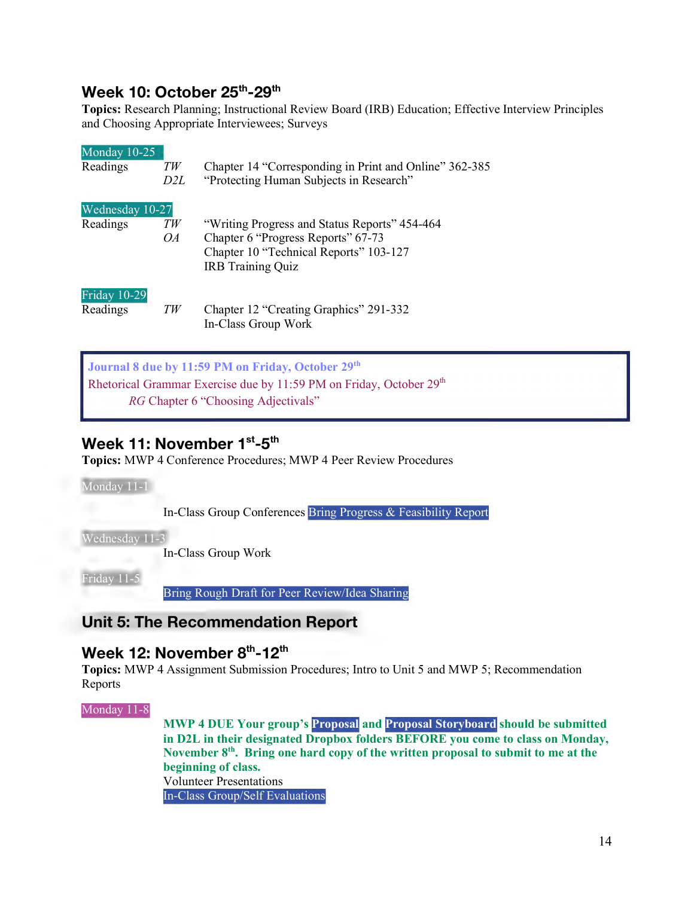## **Week 10: October 25th-29th**

**Topics:** Research Planning; Instructional Review Board (IRB) Education; Effective Interview Principles and Choosing Appropriate Interviewees; Surveys

| Monday 10-25<br>Readings        | TW<br>D2L | Chapter 14 "Corresponding in Print and Online" 362-385<br>"Protecting Human Subjects in Research"                                                         |
|---------------------------------|-----------|-----------------------------------------------------------------------------------------------------------------------------------------------------------|
| Wednesday 10-27<br>Readings     | TW<br>OA  | "Writing Progress and Status Reports" 454-464<br>Chapter 6 "Progress Reports" 67-73<br>Chapter 10 "Technical Reports" 103-127<br><b>IRB</b> Training Quiz |
| <b>Friday 10-29</b><br>Readings | TW        | Chapter 12 "Creating Graphics" 291-332<br>In-Class Group Work                                                                                             |

**Journal 8 due by 11:59 PM on Friday, October 29th**  Rhetorical Grammar Exercise due by 11:59 PM on Friday, October 29<sup>th</sup> *RG* Chapter 6 "Choosing Adjectivals"

## **Week 11: November 1st-5th**

**Topics:** MWP 4 Conference Procedures; MWP 4 Peer Review Procedures<br>
Monday 11-1<br>
In-Class Group Conferences Bring Progress & Feasibility 1

Monday 11-1

 $\overline{a}$ 

In-Class Group Conferences Bring Progress & Feasibility Report

Wednesday 11-3

In-Class Group Work

Friday 11-5 wedi<br>Frida<br>Les

Bring Rough Draft for Peer Review/Idea Sharing

## **Unit 5: The Recommendation Report**

## **Week 12: November 8th-12th**

**Topics:** MWP 4 Assignment Submission Procedures; Intro to Unit 5 and MWP 5; Recommendation Reports 1 opre<br>Repo<br>Mone

Monday 11-8

**MWP 4 DUE Your group's Proposal and Proposal Storyboard should be submitted in D2L in their designated Dropbox folders BEFORE you come to class on Monday, November 8th. Bring one hard copy of the written proposal to submit to me at the beginning of class.**  Volunteer Presentations In-Class Group/Self Evaluations Prop<br>Dropb<br>Ird co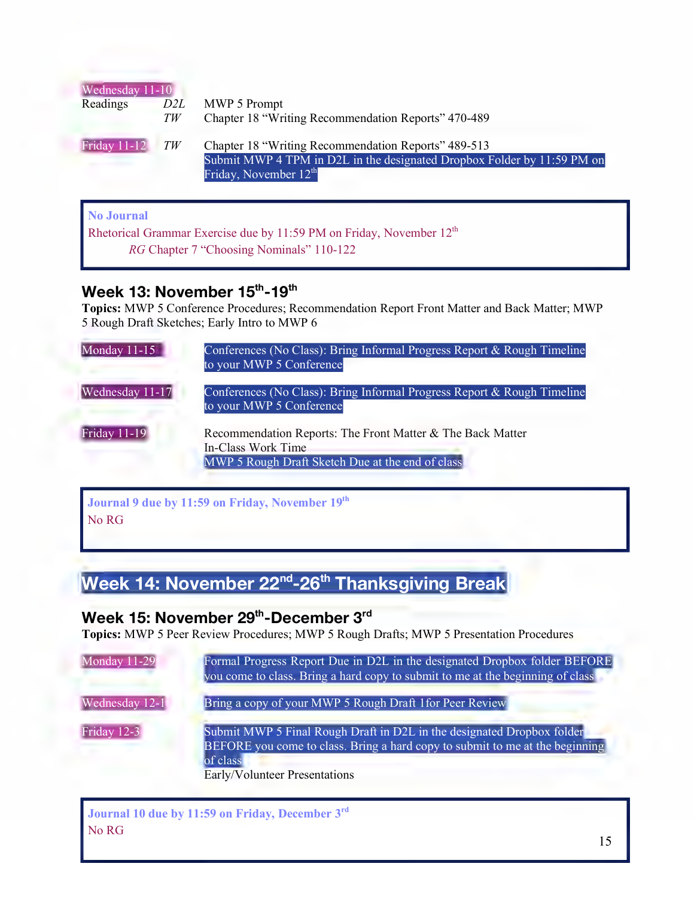| Wednesday 11-10     | D2L | MWP 5 Prompt                                                                                                                                              |
|---------------------|-----|-----------------------------------------------------------------------------------------------------------------------------------------------------------|
| Readings            | TW  | Chapter 18 "Writing Recommendation Reports" 470-489                                                                                                       |
| <b>Friday 11-12</b> | TW  | Chapter 18 "Writing Recommendation Reports" 489-513<br>Submit MWP 4 TPM in D2L in the designated Dropbox Folder by 11:59 PM on<br>Friday, November $12th$ |

## **No Journal**

 $\overline{a}$ 

Rhetorical Grammar Exercise due by 11:59 PM on Friday, November  $12^{\text{th}}$ *RG* Chapter 7 "Choosing Nominals" 110-122

## **Week 13: November 15th-19th**

Topics: MWP 5 Conference Procedures; Recommendation Report Front Matter and Back Matter; MWP 5 Rough Draft Sketches; Early Intro to MWP 6

| Monday 11-15        | Conferences (No Class): Bring Informal Progress Report & Rough Timeline<br>to your MWP 5 Conference                                  |
|---------------------|--------------------------------------------------------------------------------------------------------------------------------------|
| Wednesday 11-17     | Conferences (No Class): Bring Informal Progress Report & Rough Timeline<br>to your MWP 5 Conference                                  |
| <b>Friday 11-19</b> | Recommendation Reports: The Front Matter & The Back Matter<br>In-Class Work Time<br>MWP 5 Rough Draft Sketch Due at the end of class |

## **Journal 9 due by 11:59 on Friday, November 19th**  No RG

# **Week 14: November 22nd-26th Thanksgiving Break**

## Week 15: November 29<sup>th</sup>-December 3<sup>rd</sup>

**Topics:** MWP 5 Peer Review Procedures; MWP 5 Rough Drafts; MWP 5 Presentation Procedures

| Monday 11-29   | Formal Progress Report Due in D2L in the designated Dropbox folder BEFORE<br>you come to class. Bring a hard copy to submit to me at the beginning of class                                                                                                                                                                                                                                                                                                                                                                                                                                     |
|----------------|-------------------------------------------------------------------------------------------------------------------------------------------------------------------------------------------------------------------------------------------------------------------------------------------------------------------------------------------------------------------------------------------------------------------------------------------------------------------------------------------------------------------------------------------------------------------------------------------------|
| Wednesday 12-1 | Bring a copy of your MWP 5 Rough Draft 1 for Peer Review                                                                                                                                                                                                                                                                                                                                                                                                                                                                                                                                        |
| Friday 12-3    | Submit MWP 5 Final Rough Draft in D2L in the designated Dropbox folder<br>BEFORE you come to class. Bring a hard copy to submit to me at the beginning<br>of class<br>$\Gamma_{\text{max}} = \frac{1}{2} \mathbf{1} \mathbf{1} \mathbf{1} \mathbf{1} \mathbf{1} \mathbf{1} \mathbf{1} \mathbf{1} \mathbf{1} \mathbf{1} \mathbf{1} \mathbf{1} \mathbf{1} \mathbf{1} \mathbf{1} \mathbf{1} \mathbf{1} \mathbf{1} \mathbf{1} \mathbf{1} \mathbf{1} \mathbf{1} \mathbf{1} \mathbf{1} \mathbf{1} \mathbf{1} \mathbf{1} \mathbf{1} \mathbf{1} \mathbf{1} \mathbf{1} \mathbf{1} \mathbf{1} \mathbf{1}$ |

Early/Volunteer Presentations

**Journal 10 due by 11:59 on Friday, December 3rd**  No RG

I

I